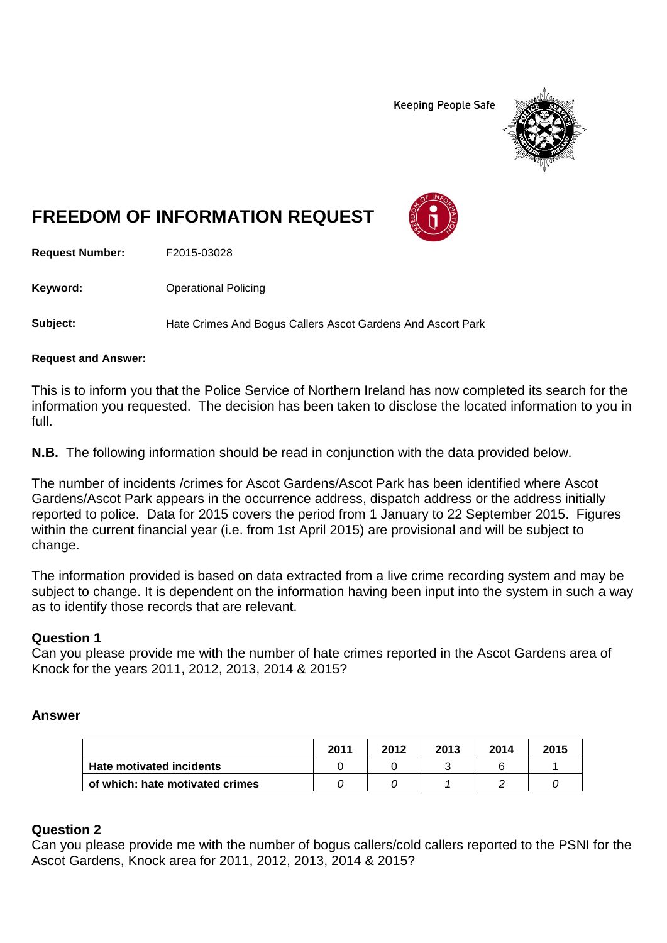**Keeping People Safe** 



# **FREEDOM OF INFORMATION REQUEST**

**Request Number:** F2015-03028

**Keyword:** Operational Policing

**Subject:** Hate Crimes And Bogus Callers Ascot Gardens And Ascort Park

#### **Request and Answer:**

This is to inform you that the Police Service of Northern Ireland has now completed its search for the information you requested. The decision has been taken to disclose the located information to you in full.

**N.B.** The following information should be read in conjunction with the data provided below.

The number of incidents /crimes for Ascot Gardens/Ascot Park has been identified where Ascot Gardens/Ascot Park appears in the occurrence address, dispatch address or the address initially reported to police. Data for 2015 covers the period from 1 January to 22 September 2015. Figures within the current financial year (i.e. from 1st April 2015) are provisional and will be subject to change.

The information provided is based on data extracted from a live crime recording system and may be subject to change. It is dependent on the information having been input into the system in such a way as to identify those records that are relevant.

## **Question 1**

Can you please provide me with the number of hate crimes reported in the Ascot Gardens area of Knock for the years 2011, 2012, 2013, 2014 & 2015?

## **Answer**

|                                 | 2011 | 2012 | 2013 | 2014 | 2015 |
|---------------------------------|------|------|------|------|------|
| Hate motivated incidents        |      |      |      |      |      |
| of which: hate motivated crimes |      |      |      |      |      |

## **Question 2**

Can you please provide me with the number of bogus callers/cold callers reported to the PSNI for the Ascot Gardens, Knock area for 2011, 2012, 2013, 2014 & 2015?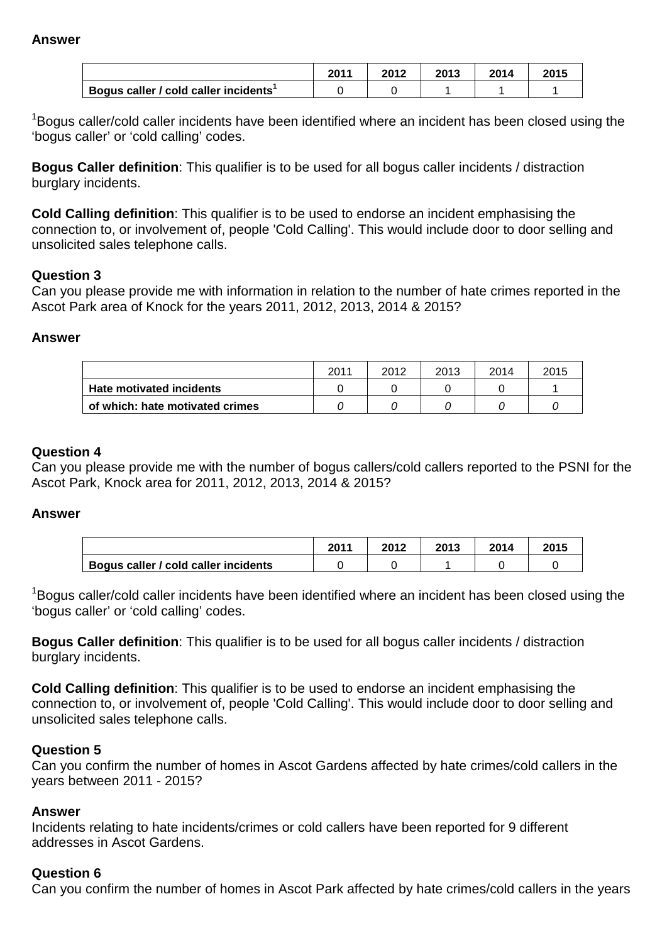#### **Answer**

|                                       | <b>2011</b> | 2012 | 2013 | 2014 | 2015 |
|---------------------------------------|-------------|------|------|------|------|
| Bogus caller / cold caller incidents' |             |      |      |      |      |

<sup>1</sup>Bogus caller/cold caller incidents have been identified where an incident has been closed using the 'bogus caller' or 'cold calling' codes.

**Bogus Caller definition**: This qualifier is to be used for all bogus caller incidents / distraction burglary incidents.

**Cold Calling definition**: This qualifier is to be used to endorse an incident emphasising the connection to, or involvement of, people 'Cold Calling'. This would include door to door selling and unsolicited sales telephone calls.

## **Question 3**

Can you please provide me with information in relation to the number of hate crimes reported in the Ascot Park area of Knock for the years 2011, 2012, 2013, 2014 & 2015?

## **Answer**

|                                 | 2011 | 2012 | 2013 | 2014 | 2015 |
|---------------------------------|------|------|------|------|------|
| Hate motivated incidents        |      |      |      |      |      |
| of which: hate motivated crimes |      |      |      |      |      |

## **Question 4**

Can you please provide me with the number of bogus callers/cold callers reported to the PSNI for the Ascot Park, Knock area for 2011, 2012, 2013, 2014 & 2015?

## **Answer**

|                                                   | 2011 | 2012 | 2013 | 2014 | 2015 |
|---------------------------------------------------|------|------|------|------|------|
| <sup>1</sup> Bogus caller / cold caller incidents |      |      |      |      |      |

<sup>1</sup>Bogus caller/cold caller incidents have been identified where an incident has been closed using the 'bogus caller' or 'cold calling' codes.

**Bogus Caller definition**: This qualifier is to be used for all bogus caller incidents / distraction burglary incidents.

**Cold Calling definition**: This qualifier is to be used to endorse an incident emphasising the connection to, or involvement of, people 'Cold Calling'. This would include door to door selling and unsolicited sales telephone calls.

## **Question 5**

Can you confirm the number of homes in Ascot Gardens affected by hate crimes/cold callers in the years between 2011 - 2015?

#### **Answer**

Incidents relating to hate incidents/crimes or cold callers have been reported for 9 different addresses in Ascot Gardens.

## **Question 6**

Can you confirm the number of homes in Ascot Park affected by hate crimes/cold callers in the years